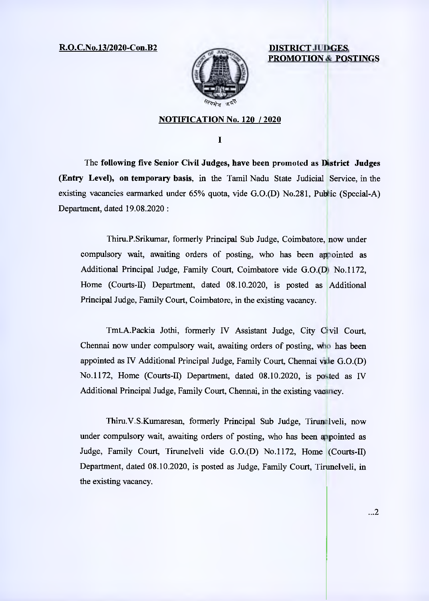R.O.C.No.13/2020-Con.B2 **DISTRICT JUDGES** 



**PROMOTION & POSTINGS** 

## **NOTIFICATION No. 120 / 2020**

 $\mathbf I$ 

The **following five Senior Civil Judges, have been promoted as District Judges (Entry Level), on temporary basis,** in the Tamil Nadu State Judicial Service, in the existing vacancies earmarked under  $65\%$  quota, vide G.O.(D) No.281, Public (Special-A) Department, dated 19.08.2020:

Thiru.P.Srikumar, formerly Principal Sub Judge, Coimbatore, now under compulsory wait, awaiting orders of posting, who has been appointed as Additional Principal Judge, Family Court, Coimbatore vide G.O.(D) No.1172, Home (Courts-II) Department, dated 08.10.2020, is posted as Additional Principal Judge, Family Court, Coimbatore, in the existing vacancy.

Tmt.A.Packia Jothi, formerly IV Assistant Judge, City Civil Court, Chennai now under compulsory wait, awaiting orders of posting, who has been appointed as IV Additional Principal Judge, Family Court, Chennai vide G.O.(D) No.1172, Home (Courts-II) Department, dated 08.10.2020, is posted as IV Additional Principal Judge, Family Court, Chennai, in the existing vacancy.

Thiru.V.S.Kumaresan, formerly Principal Sub Judge, Tirun lveli, now under compulsory wait, awaiting orders of posting, who has been appointed as Judge, Family Court, Tirunelveli vide G.0.(D) No.1172, Home (Courts-II) Department, dated 08.10.2020, is posted as Judge, Family Court, Tirunelveli, in the existing vacancy.

...2